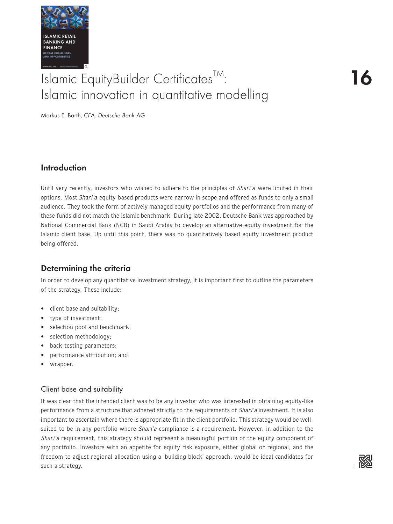

# $16$  Islamic EquityBuilder Certificates  $\mathbb{I}^M$ : Islamic innovation in quantitative modelling

Markus E. Barth, CFA, Deutsche Bank AG

# Introduction

Until very recently, investors who wished to adhere to the principles of Shari'a were limited in their options. Most Shari'a equity-based products were narrow in scope and offered as funds to only a small audience. They took the form of actively managed equity portfolios and the performance from many of these funds did not match the Islamic benchmark. During late 2002, Deutsche Bank was approached by National Commercial Bank (NCB) in Saudi Arabia to develop an alternative equity investment for the Islamic client base. Up until this point, there was no quantitatively based equity investment product being offered.

# Determining the criteria

In order to develop any quantitative investment strategy, it is important first to outline the parameters of the strategy. These include:

- client base and suitability;
- type of investment;
- selection pool and benchmark;
- selection methodology;
- back-testing parameters;
- performance attribution; and
- wrapper.

## Client base and suitability

It was clear that the intended client was to be any investor who was interested in obtaining equity-like performance from a structure that adhered strictly to the requirements of Shari'a investment. It is also important to ascertain where there is appropriate fit in the client portfolio. This strategy would be wellsuited to be in any portfolio where Shari'a-compliance is a requirement. However, in addition to the Shari'a requirement, this strategy should represent a meaningful portion of the equity component of any portfolio. Investors with an appetite for equity risk exposure, either global or regional, and the freedom to adjust regional allocation using a 'building block' approach, would be ideal candidates for such a strategy.

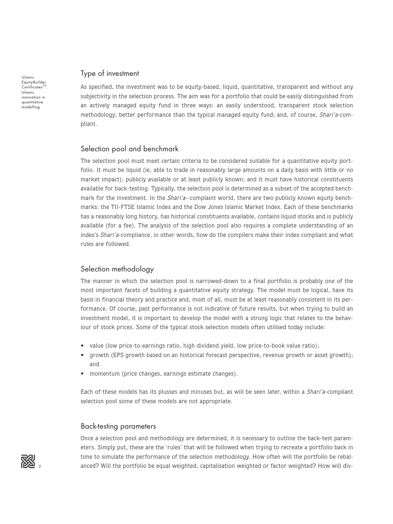#### Type of investment

As specified, the investment was to be equity-based, liquid, quantitative, transparent and without any subjectivity in the selection process. The aim was for a portfolio that could be easily distinguished from an actively managed equity fund in three ways: an easily understood, transparent stock selection methodology; better performance than the typical managed equity fund; and, of course, Shari'a-compliant.

### Selection pool and benchmark

The selection pool must meet certain criteria to be considered suitable for a quantitative equity portfolio. It must be liquid (ie, able to trade in reasonably large amounts on a daily basis with little or no market impact); publicly available or at least publicly known; and it must have historical constituents available for back-testing. Typically, the selection pool is determined as a subset of the accepted benchmark for the investment. In the Shari'a--complaint world, there are two publicly known equity benchmarks: the TII-FTSE Islamic Index and the Dow Jones Islamic Market Index. Each of these benchmarks has a reasonably long history, has historical constituents available, contains liquid stocks and is publicly available (for a fee). The analysis of the selection pool also requires a complete understanding of an index's Shari'a-compliance, in other words, how do the compilers make their index compliant and what rules are followed.

## Selection methodology

The manner in which the selection pool is narrowed-down to a final portfolio is probably one of the most important facets of building a quantitative equity strategy. The model must be logical, have its basis in financial theory and practice and, most of all, must be at least reasonably consistent in its performance. Of course, past performance is not indicative of future results, but when trying to build an investment model, it is important to develop the model with a strong logic that relates to the behaviour of stock prices. Some of the typical stock selection models often utilised today include:

- value (low price-to-earnings ratio, high dividend yield, low price-to-book value ratio);
- growth (EPS growth based on an historical forecast perspective, revenue growth or asset growth); and
- momentum (price changes, earnings estimate changes).

Each of these models has its plusses and minuses but, as will be seen later, within a Shari'a-compliant selection pool some of these models are not appropriate.

#### Back-testing parameters

Once a selection pool and methodology are determined, it is necessary to outline the back-test parameters. Simply put, these are the 'rules' that will be followed when trying to recreate a portfolio back in time to simulate the performance of the selection methodology. How often will the portfolio be rebalanced? Will the portfolio be equal weighted, capitalisation weighted or factor weighted? How will div-

Islamic **EquityBuilder**  $C$ ertificates<sup>T</sup> Islamic innovation in quantitative modelling

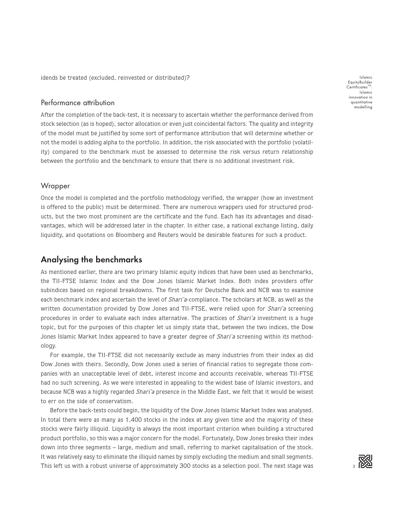idends be treated (excluded, reinvested or distributed)?

## Performance attribution

After the completion of the back-test, it is necessary to ascertain whether the performance derived from stock selection (as is hoped), sector allocation or even just coincidental factors. The quality and integrity of the model must be justified by some sort of performance attribution that will determine whether or not the model is adding alpha to the portfolio. In addition, the risk associated with the portfolio (volatility) compared to the benchmark must be assessed to determine the risk versus return relationship between the portfolio and the benchmark to ensure that there is no additional investment risk.

#### **Wrapper**

Once the model is completed and the portfolio methodology verified, the wrapper (how an investment is offered to the public) must be determined. There are numerous wrappers used for structured products, but the two most prominent are the certificate and the fund. Each has its advantages and disadvantages, which will be addressed later in the chapter. In either case, a national exchange listing, daily liquidity, and quotations on Bloomberg and Reuters would be desirable features for such a product.

# Analysing the benchmarks

As mentioned earlier, there are two primary Islamic equity indices that have been used as benchmarks, the TII-FTSE Islamic Index and the Dow Jones Islamic Market Index. Both index providers offer subindices based on regional breakdowns. The first task for Deutsche Bank and NCB was to examine each benchmark index and ascertain the level of Shari'a-compliance. The scholars at NCB, as well as the written documentation provided by Dow Jones and TII-FTSE, were relied upon for Shari'a screening procedures in order to evaluate each index alternative. The practices of Shari'a investment is a huge topic, but for the purposes of this chapter let us simply state that, between the two indices, the Dow Jones Islamic Market Index appeared to have a greater degree of Shari'a screening within its methodology.

For example, the TII-FTSE did not necessarily exclude as many industries from their index as did Dow Jones with theirs. Secondly, Dow Jones used a series of financial ratios to segregate those companies with an unacceptable level of debt, interest income and accounts receivable, whereas TII-FTSE had no such screening. As we were interested in appealing to the widest base of Islamic investors, and because NCB was a highly regarded Shari'a presence in the Middle East, we felt that it would be wisest to err on the side of conservatism.

Before the back-tests could begin, the liquidity of the Dow Jones Islamic Market Index was analysed. In total there were as many as 1,400 stocks in the index at any given time and the majority of these stocks were fairly illiquid. Liquidity is always the most important criterion when building a structured product portfolio, so this was a major concern for the model. Fortunately, Dow Jones breaks their index down into three segments – large, medium and small, referring to market capitalisation of the stock. It was relatively easy to eliminate the illiquid names by simply excluding the medium and small segments. This left us with a robust universe of approximately 300 stocks as a selection pool. The next stage was

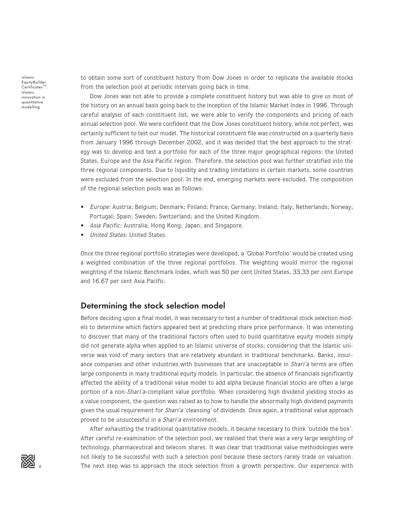Islamic EquityBuilder  $C$ ertificates<sup>T</sup> Islamic innovation in quantitative modelling

to obtain some sort of constituent history from Dow Jones in order to replicate the available stocks from the selection pool at periodic intervals going back in time.

Dow Jones was not able to provide a complete constituent history but was able to give us most of the history on an annual basis going back to the inception of the Islamic Market Index in 1996. Through careful analysis of each constituent list, we were able to verify the components and pricing of each annual selection pool. We were confident that the Dow Jones constituent history, while not perfect, was certainly sufficient to test our model. The historical constituent file was constructed on a quarterly basis from January 1996 through December 2002, and it was decided that the best approach to the strategy was to develop and test a portfolio for each of the three major geographical regions: the United States, Europe and the Asia Pacific region. Therefore, the selection pool was further stratified into the three regional components. Due to liquidity and trading limitations in certain markets, some countries were excluded from the selection pool. In the end, emerging markets were excluded. The composition of the regional selection pools was as follows:

- Europe: Austria; Belgium; Denmark; Finland; France; Germany; Ireland; Italy; Netherlands; Norway; Portugal; Spain; Sweden; Switzerland; and the United Kingdom.
- Asia Pacific: Australia; Hong Kong; Japan; and Singapore.
- *United States*: United States.

Once the three regional portfolio strategies were developed, a 'Global Portfolio' would be created using a weighted combination of the three regional portfolios. The weighting would mirror the regional weighting if the Islamic Benchmark Index, which was 50 per cent United States, 33.33 per cent Europe and 16.67 per cent Asia Pacific.

## Determining the stock selection model

Before deciding upon a final model, it was necessary to test a number of traditional stock selection models to determine which factors appeared best at predicting share price performance. It was interesting to discover that many of the traditional factors often used to build quantitative equity models simply did not generate alpha when applied to an Islamic universe of stocks; considering that the Islamic universe was void of many sectors that are relatively abundant in traditional benchmarks. Banks, insurance companies and other industries with businesses that are unacceptable in *Shari'a* terms are often large components in many traditional equity models. In particular, the absence of financials significantly affected the ability of a traditional value model to add alpha because financial stocks are often a large portion of a non-Shari'a-compliant value portfolio. When considering high dividend yielding stocks as a value component, the question was raised as to how to handle the abnormally high dividend payments given the usual requirement for Shari'a 'cleansing' of dividends. Once again, a traditional value approach proved to be unsuccessful in a Shari'a environment.

After exhausting the traditional quantitative models, it became necessary to think 'outside the box'. After careful re-examination of the selection pool, we realised that there was a very large weighting of technology, pharmaceutical and telecom shares. It was clear that traditional value methodologies were not likely to be successful with such a selection pool because these sectors rarely trade on valuation. The next step was to approach the stock selection from a growth perspective. Our experience with

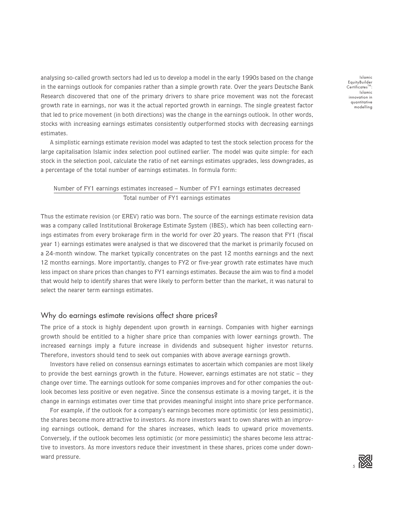analysing so-called growth sectors had led us to develop a model in the early 1990s based on the change in the earnings outlook for companies rather than a simple growth rate. Over the years Deutsche Bank Research discovered that one of the primary drivers to share price movement was not the forecast growth rate in earnings, nor was it the actual reported growth in earnings. The single greatest factor that led to price movement (in both directions) was the change in the earnings outlook. In other words, stocks with increasing earnings estimates consistently outperformed stocks with decreasing earnings estimates.

A simplistic earnings estimate revision model was adapted to test the stock selection process for the large capitalisation Islamic index selection pool outlined earlier. The model was quite simple: for each stock in the selection pool, calculate the ratio of net earnings estimates upgrades, less downgrades, as a percentage of the total number of earnings estimates. In formula form:

#### Number of FY1 earnings estimates increased – Number of FY1 earnings estimates decreased Total number of FY1 earnings estimates

Thus the estimate revision (or EREV) ratio was born. The source of the earnings estimate revision data was a company called Institutional Brokerage Estimate System (IBES), which has been collecting earnings estimates from every brokerage firm in the world for over 20 years. The reason that FY1 (fiscal year 1) earnings estimates were analysed is that we discovered that the market is primarily focused on a 24-month window. The market typically concentrates on the past 12 months earnings and the next 12 months earnings. More importantly, changes to FY2 or five-year growth rate estimates have much less impact on share prices than changes to FY1 earnings estimates. Because the aim was to find a model that would help to identify shares that were likely to perform better than the market, it was natural to select the nearer term earnings estimates.

## Why do earnings estimate revisions affect share prices?

The price of a stock is highly dependent upon growth in earnings. Companies with higher earnings growth should be entitled to a higher share price than companies with lower earnings growth. The increased earnings imply a future increase in dividends and subsequent higher investor returns. Therefore, investors should tend to seek out companies with above average earnings growth.

Investors have relied on consensus earnings estimates to ascertain which companies are most likely to provide the best earnings growth in the future. However, earnings estimates are not static – they change over time. The earnings outlook for some companies improves and for other companies the outlook becomes less positive or even negative. Since the consensus estimate is a moving target, it is the change in earnings estimates over time that provides meaningful insight into share price performance.

For example, if the outlook for a company's earnings becomes more optimistic (or less pessimistic), the shares become more attractive to investors. As more investors want to own shares with an improving earnings outlook, demand for the shares increases, which leads to upward price movements. Conversely, if the outlook becomes less optimistic (or more pessimistic) the shares become less attractive to investors. As more investors reduce their investment in these shares, prices come under downward pressure.

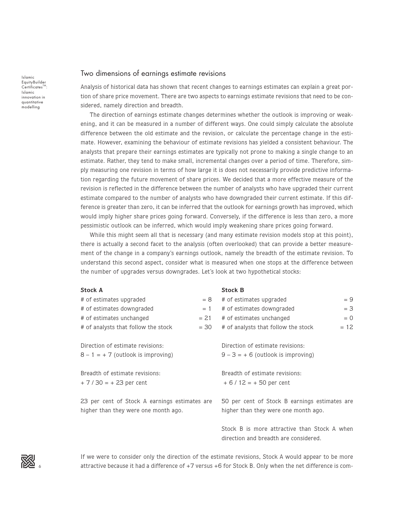#### Two dimensions of earnings estimate revisions

Analysis of historical data has shown that recent changes to earnings estimates can explain a great portion of share price movement. There are two aspects to earnings estimate revisions that need to be considered, namely direction and breadth.

The direction of earnings estimate changes determines whether the outlook is improving or weakening, and it can be measured in a number of different ways. One could simply calculate the absolute difference between the old estimate and the revision, or calculate the percentage change in the estimate. However, examining the behaviour of estimate revisions has yielded a consistent behaviour. The analysts that prepare their earnings estimates are typically not prone to making a single change to an estimate. Rather, they tend to make small, incremental changes over a period of time. Therefore, simply measuring one revision in terms of how large it is does not necessarily provide predictive information regarding the future movement of share prices. We decided that a more effective measure of the revision is reflected in the difference between the number of analysts who have upgraded their current estimate compared to the number of analysts who have downgraded their current estimate. If this difference is greater than zero, it can be inferred that the outlook for earnings growth has improved, which would imply higher share prices going forward. Conversely, if the difference is less than zero, a more pessimistic outlook can be inferred, which would imply weakening share prices going forward.

While this might seem all that is necessary (and many estimate revision models stop at this point), there is actually a second facet to the analysis (often overlooked) that can provide a better measurement of the change in a company's earnings outlook, namely the breadth of the estimate revision. To understand this second aspect, consider what is measured when one stops at the difference between the number of upgrades versus downgrades. Let's look at two hypothetical stocks:

#### **Stock A**

#### **Stock B**

| # of estimates upgraded                       | $= 8$  | # of estimates upgraded                                | $= 9$  |
|-----------------------------------------------|--------|--------------------------------------------------------|--------|
| # of estimates downgraded                     | $= 1$  | # of estimates downgraded                              | $=$ 3  |
| # of estimates unchanged                      | $= 21$ | # of estimates unchanged                               | $= 0$  |
| # of analysts that follow the stock           | $= 30$ | # of analysts that follow the stock                    | $= 12$ |
| Direction of estimate revisions:              |        | Direction of estimate revisions:                       |        |
| $8 - 1 = +7$ (outlook is improving)           |        | $9 - 3 = +6$ (outlook is improving)                    |        |
| Breadth of estimate revisions:                |        | Breadth of estimate revisions:                         |        |
| $+7/30 = +23$ per cent                        |        | $+ 6 / 12 = + 50$ per cent                             |        |
| 23 per cent of Stock A earnings estimates are |        | 50 per cent of Stock B earnings estimates are          |        |
| higher than they were one month ago.          |        | higher than they were one month ago.                   |        |
|                                               |        | Stock $R$ is more attractive than Stock $\Lambda$ when |        |

Stock B is more attractive than Stock A when direction and breadth are considered.

If we were to consider only the direction of the estimate revisions, Stock A would appear to be more attractive because it had a difference of +7 versus +6 for Stock B. Only when the net difference is com-

Islamic EquityBuilder  $C$ ertificates<sup>TM</sup> Islamic innovation in quantitative modelling

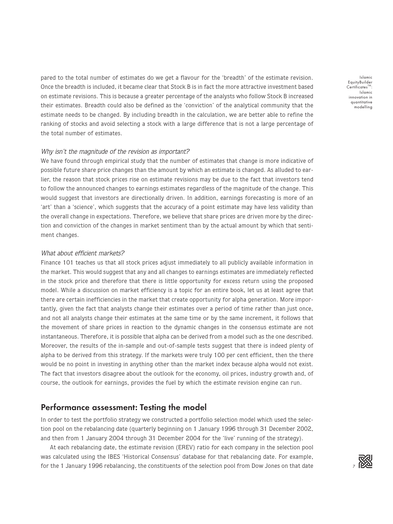pared to the total number of estimates do we get a flavour for the 'breadth' of the estimate revision. Once the breadth is included, it became clear that Stock B is in fact the more attractive investment based on estimate revisions. This is because a greater percentage of the analysts who follow Stock B increased their estimates. Breadth could also be defined as the 'conviction' of the analytical community that the estimate needs to be changed. By including breadth in the calculation, we are better able to refine the ranking of stocks and avoid selecting a stock with a large difference that is not a large percentage of the total number of estimates.

Islamic EquityBuilder  $Centificates^M$ Islamic innovation in quantitative modelling

#### Why isn't the magnitude of the revision as important?

We have found through empirical study that the number of estimates that change is more indicative of possible future share price changes than the amount by which an estimate is changed. As alluded to earlier, the reason that stock prices rise on estimate revisions may be due to the fact that investors tend to follow the announced changes to earnings estimates regardless of the magnitude of the change. This would suggest that investors are directionally driven. In addition, earnings forecasting is more of an 'art' than a 'science', which suggests that the accuracy of a point estimate may have less validity than the overall change in expectations. Therefore, we believe that share prices are driven more by the direction and conviction of the changes in market sentiment than by the actual amount by which that sentiment changes.

#### What about efficient markets?

Finance 101 teaches us that all stock prices adjust immediately to all publicly available information in the market. This would suggest that any and all changes to earnings estimates are immediately reflected in the stock price and therefore that there is little opportunity for excess return using the proposed model. While a discussion on market efficiency is a topic for an entire book, let us at least agree that there are certain inefficiencies in the market that create opportunity for alpha generation. More importantly, given the fact that analysts change their estimates over a period of time rather than just once, and not all analysts change their estimates at the same time or by the same increment, it follows that the movement of share prices in reaction to the dynamic changes in the consensus estimate are not instantaneous. Therefore, it is possible that alpha can be derived from a model such as the one described. Moreover, the results of the in-sample and out-of-sample tests suggest that there is indeed plenty of alpha to be derived from this strategy. If the markets were truly 100 per cent efficient, then the there would be no point in investing in anything other than the market index because alpha would not exist. The fact that investors disagree about the outlook for the economy, oil prices, industry growth and, of course, the outlook for earnings, provides the fuel by which the estimate revision engine can run.

## Performance assessment: Testing the model

In order to test the portfolio strategy we constructed a portfolio selection model which used the selection pool on the rebalancing date (quarterly beginning on 1 January 1996 through 31 December 2002, and then from 1 January 2004 through 31 December 2004 for the 'live' running of the strategy).

At each rebalancing date, the estimate revision (EREV) ratio for each company in the selection pool was calculated using the IBES 'Historical Consensus' database for that rebalancing date. For example, for the 1 January 1996 rebalancing, the constituents of the selection pool from Dow Jones on that date

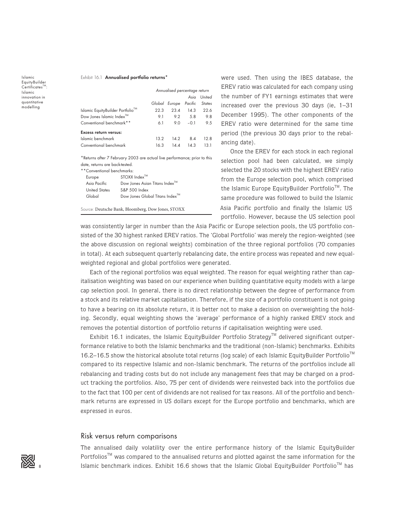#### Exhibit 16.1 Annualised portfolio returns\*

|                                               | Annualised percentage return |                       |        |        |
|-----------------------------------------------|------------------------------|-----------------------|--------|--------|
|                                               |                              |                       | Asia   | United |
|                                               |                              | Global Europe Pacific |        | States |
| Islamic EquityBuilder Portfolio <sup>1M</sup> | 22.3                         | $23\,\Delta$          | 14.3   | 226    |
| Dow Jones Islamic Index™                      | 9.1                          | 9.2                   | 5.8    | 9.8    |
| Conventional benchmark**                      | 6.1                          | 9.0                   | $-0.1$ | 9.5    |
| Excess return versus:                         |                              |                       |        |        |
| Islamic benchmark                             | 132                          | 14.2                  | 84     | 12 R   |
| Conventional benchmark                        | 16.3                         | 14 A                  | 143    | 13 1   |

\*Returns after 7 February 2003 are actual live performance; prior to this date, returns are back-tested.

| **Conventional benchmarks: |                                           |
|----------------------------|-------------------------------------------|
| Europe                     | STOXX Index <sup>™</sup>                  |
| Asia Pacific               | Dow Jones Asian Titans Index <sup>™</sup> |
| <b>United States</b>       | S&P 500 Index                             |
| Global                     | Dow Jones Global Titans Index™            |
|                            |                                           |

were used. Then using the IBES database, the EREV ratio was calculated for each company using the number of FY1 earnings estimates that were increased over the previous 30 days (ie, 1–31 December 1995). The other components of the EREV ratio were determined for the same time period (the previous 30 days prior to the rebalancing date).

Once the EREV for each stock in each regional selection pool had been calculated, we simply selected the 20 stocks with the highest EREV ratio from the Europe selection pool, which comprised the Islamic Europe EquityBuilder Portfolio™. The same procedure was followed to build the Islamic Source: Deutsche Bank, Bloomberg, Dow Jones, STOXX Asia Pacific portfolio and finally the Islamic US portfolio. However, because the US selection pool

was consistently larger in number than the Asia Pacific or Europe selection pools, the US portfolio consisted of the 30 highest ranked EREV ratios. The 'Global Portfolio' was merely the region-weighted (see the above discussion on regional weights) combination of the three regional portfolios (70 companies in total). At each subsequent quarterly rebalancing date, the entire process was repeated and new equalweighted regional and global portfolios were generated.

Each of the regional portfolios was equal weighted. The reason for equal weighting rather than capitalisation weighting was based on our experience when building quantitative equity models with a large cap selection pool. In general, there is no direct relationship between the degree of performance from a stock and its relative market capitalisation. Therefore, if the size of a portfolio constituent is not going to have a bearing on its absolute return, it is better not to make a decision on overweighting the holding. Secondly, equal weighting shows the 'average' performance of a highly ranked EREV stock and removes the potential distortion of portfolio returns if capitalisation weighting were used.

Exhibit 16.1 indicates, the Islamic EquityBuilder Portfolio Strategy<sup>TM</sup> delivered significant outperformance relative to both the Islamic benchmarks and the traditional (non-Islamic) benchmarks. Exhibits  $16.2-16.5$  show the historical absolute total returns (log scale) of each Islamic EquityBuilder Portfolio<sup>TM</sup> compared to its respective Islamic and non-Islamic benchmark. The returns of the portfolios include all rebalancing and trading costs but do not include any management fees that may be charged on a product tracking the portfolios. Also, 75 per cent of dividends were reinvested back into the portfolios due to the fact that 100 per cent of dividends are not realised for tax reasons. All of the portfolio and benchmark returns are expressed in US dollars except for the Europe portfolio and benchmarks, which are expressed in euros.

#### Risk versus return comparisons

The annualised daily volatility over the entire performance history of the Islamic EquityBuilder Portfolios<sup>™</sup> was compared to the annualised returns and plotted against the same information for the Islamic benchmark indices. Exhibit 16.6 shows that the Islamic Global EquityBuilder Portfolio<sup>TM</sup> has



Islamic **EquityBuilder**  $C$ ertificates<sup>T</sup> Islamic innovation in quantitative modelling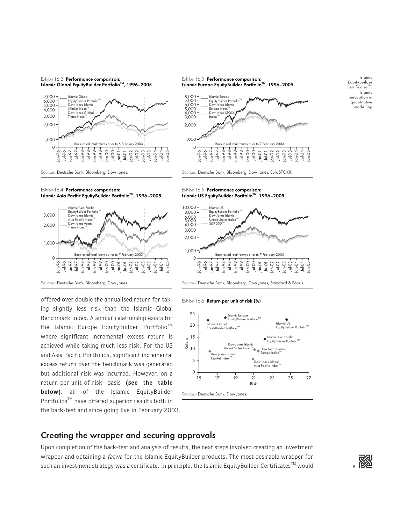





Exhibit 16.4 Performance comparison: Islamic Asia Pacific EquityBuilder Portfolio™, 1996–2005







Sources: Deutsche Bank, Bloomberg, Dow Jones, EuroSTOXX.

Exhibit 16.5 Performance comparison: Islamic US EquityBuilder Portfolio™, 1996-2005



Sources: Deutsche Bank, Bloomberg, Dow Jones.

offered over double the annualised return for taking slightly less risk than the Islamic Global Benchmark Index. A similar relationship exists for the Islamic Europe EquityBuilder Portfolio<sup>TM</sup> where significant incremental excess return is achieved while taking much less risk. For the US and Asia Pacific Portfolios, significant incremental excess return over the benchmark was generated but additional risk was incurred. However, on a return-per-unit-of-risk basis **(see the table below)**, all of the Islamic EquityBuilder Portfolios™ have offered superior results both in the back-test and since going live in February 2003.





# Creating the wrapper and securing approvals

Upon completion of the back-test and analysis of results, the next steps involved creating an investment wrapper and obtaining a fatwa for the Islamic EquityBuilder products. The most desirable wrapper for such an investment strategy was a certificate. In principle, the Islamic EquityBuilder Certificates™ would



Islamic EquityBuilder  $Centificance^{\text{T}}$ Islamic innovation in quantitative modelling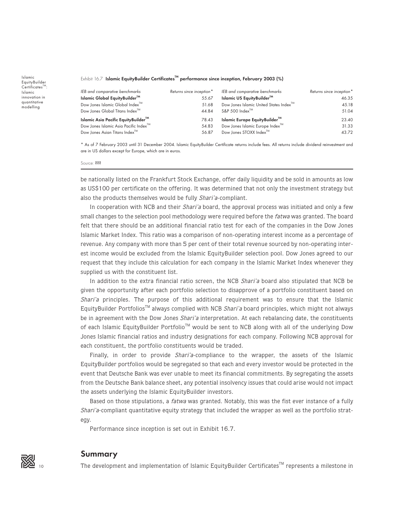#### Exhibit 16.7 Islamic EquityBuilder Certificates<sup>TM</sup> performance since inception, February 2003 (%)

| IEB and comparative benchmarks                     | Returns since inception* | IEB and comparative benchmarks                     | Returns since inception* |
|----------------------------------------------------|--------------------------|----------------------------------------------------|--------------------------|
| <b>Islamic Global EquityBuilder™</b>               | 55.67                    | Islamic US EquityBuilder <sup>™</sup>              | 46.35                    |
| Dow Jones Islamic Global Index™                    | 51.68                    | Dow Jones Islamic United States Index <sup>™</sup> | 45.18                    |
| Dow Jones Global Titans Index™                     | 44.84                    | $S\&P$ 500 Index <sup>™</sup>                      | 51.04                    |
| Islamic Asia Pacific EquityBuilder <sup>™</sup>    | 78.43                    | Islamic Europe EquityBuilder <sup>TM</sup>         | 23.40                    |
| Dow Jones Islamic Asia Pacific Index <sup>TM</sup> | 54.83                    | Dow Jones Islamic Europe Index <sup>TM</sup>       | 31.33                    |
| Dow Jones Asian Titans Index™                      | 56.87                    | Dow Jones STOXX Index™                             | 43.72                    |

\* As of 7 February 2003 until 31 December 2004. Islamic EquityBuilder Certificate returns include fees. All returns include dividend reinvestment and are in US dollars except for Europe, which are in euros.

Source: 222

Islamic **EquityBuilder**  $C$ ertificates<sup>T</sup> Islamic innovation in quantitative modelling

> be nationally listed on the Frankfurt Stock Exchange, offer daily liquidity and be sold in amounts as low as US\$100 per certificate on the offering. It was determined that not only the investment strategy but also the products themselves would be fully Shari'a-compliant.

> In cooperation with NCB and their Shari'a board, the approval process was initiated and only a few small changes to the selection pool methodology were required before the *fatwa* was granted. The board felt that there should be an additional financial ratio test for each of the companies in the Dow Jones Islamic Market Index. This ratio was a comparison of non-operating interest income as a percentage of revenue. Any company with more than 5 per cent of their total revenue sourced by non-operating interest income would be excluded from the Islamic EquityBuilder selection pool. Dow Jones agreed to our request that they include this calculation for each company in the Islamic Market Index whenever they supplied us with the constituent list.

> In addition to the extra financial ratio screen, the NCB Shari'a board also stipulated that NCB be given the opportunity after each portfolio selection to disapprove of a portfolio constituent based on Shari'a principles. The purpose of this additional requirement was to ensure that the Islamic EquityBuilder Portfolios<sup>™</sup> always complied with NCB Shari'a board principles, which might not always be in agreement with the Dow Jones Shari'a interpretation. At each rebalancing date, the constituents of each Islamic EquityBuilder Portfolio<sup>TM</sup> would be sent to NCB along with all of the underlying Dow Jones Islamic financial ratios and industry designations for each company. Following NCB approval for each constituent, the portfolio constituents would be traded.

> Finally, in order to provide Shari'a-compliance to the wrapper, the assets of the Islamic EquityBuilder portfolios would be segregated so that each and every investor would be protected in the event that Deutsche Bank was ever unable to meet its financial commitments. By segregating the assets from the Deutsche Bank balance sheet, any potential insolvency issues that could arise would not impact the assets underlying the Islamic EquityBuilder investors.

> Based on those stipulations, a fatwa was granted. Notably, this was the fist ever instance of a fully Shari'a-compliant quantitative equity strategy that included the wrapper as well as the portfolio strategy.

Performance since inception is set out in Exhibit 16.7.



#### Summary

The development and implementation of Islamic EquityBuilder Certificates<sup>TM</sup> represents a milestone in